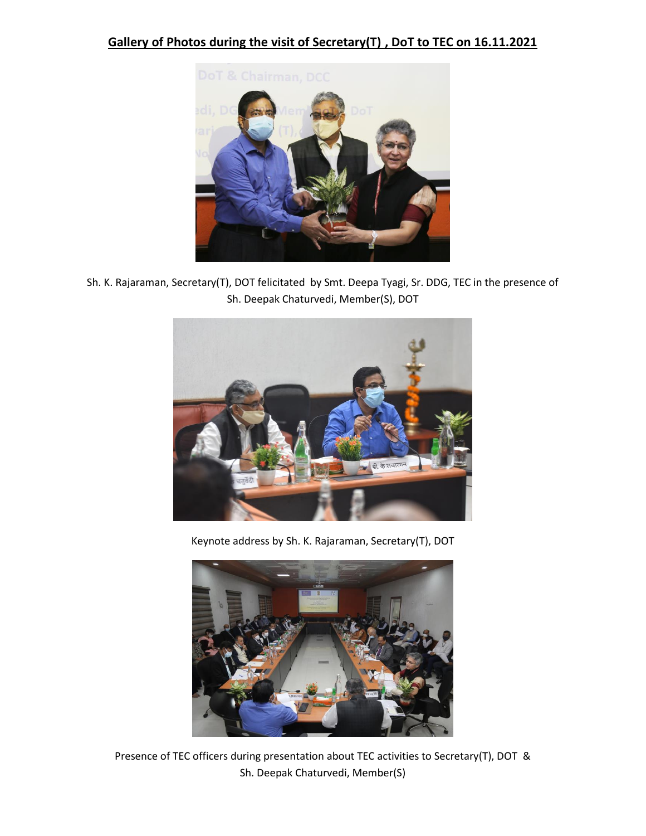## **Gallery of Photos during the visit of Secretary(T) , DoT to TEC on 16.11.2021**



Sh. K. Rajaraman, Secretary(T), DOT felicitated by Smt. Deepa Tyagi, Sr. DDG, TEC in the presence of Sh. Deepak Chaturvedi, Member(S), DOT



Keynote address by Sh. K. Rajaraman, Secretary(T), DOT



Presence of TEC officers during presentation about TEC activities to Secretary(T), DOT & Sh. Deepak Chaturvedi, Member(S)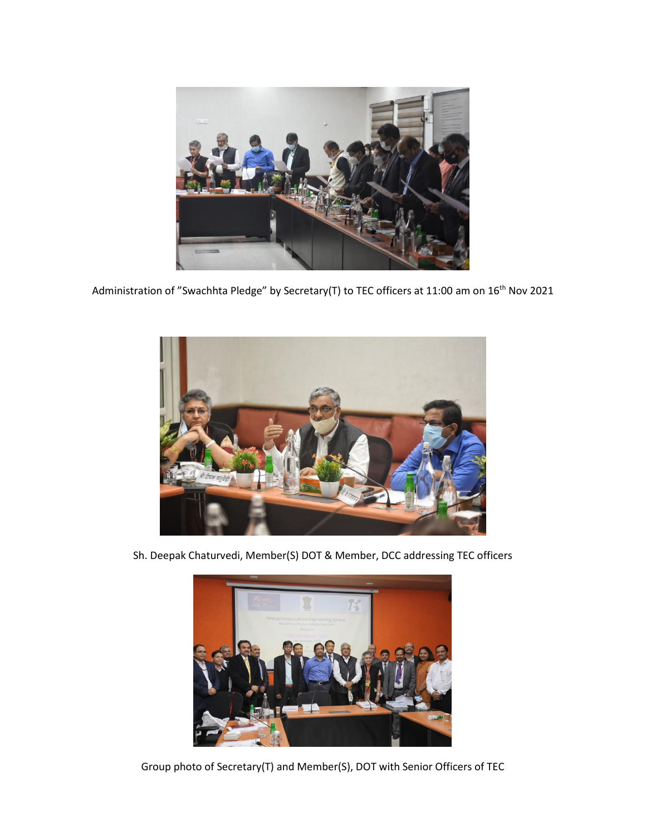

Administration of "Swachhta Pledge" by Secretary(T) to TEC officers at 11:00 am on 16<sup>th</sup> Nov 2021



Sh. Deepak Chaturvedi, Member(S) DOT & Member, DCC addressing TEC officers



Group photo of Secretary(T) and Member(S), DOT with Senior Officers of TEC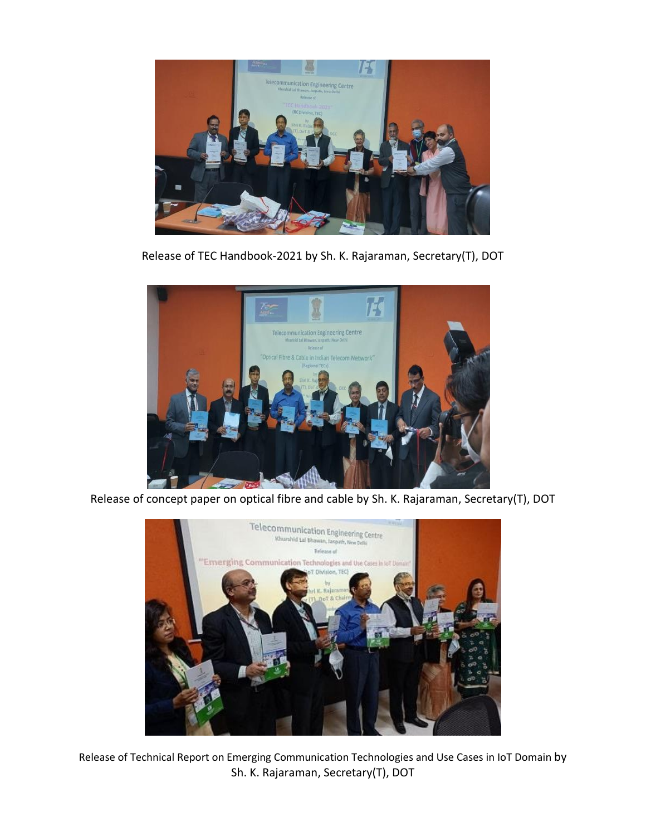

Release of TEC Handbook-2021 by Sh. K. Rajaraman, Secretary(T), DOT



Release of concept paper on optical fibre and cable by Sh. K. Rajaraman, Secretary(T), DOT



Release of Technical Report on Emerging Communication Technologies and Use Cases in IoT Domain by Sh. K. Rajaraman, Secretary(T), DOT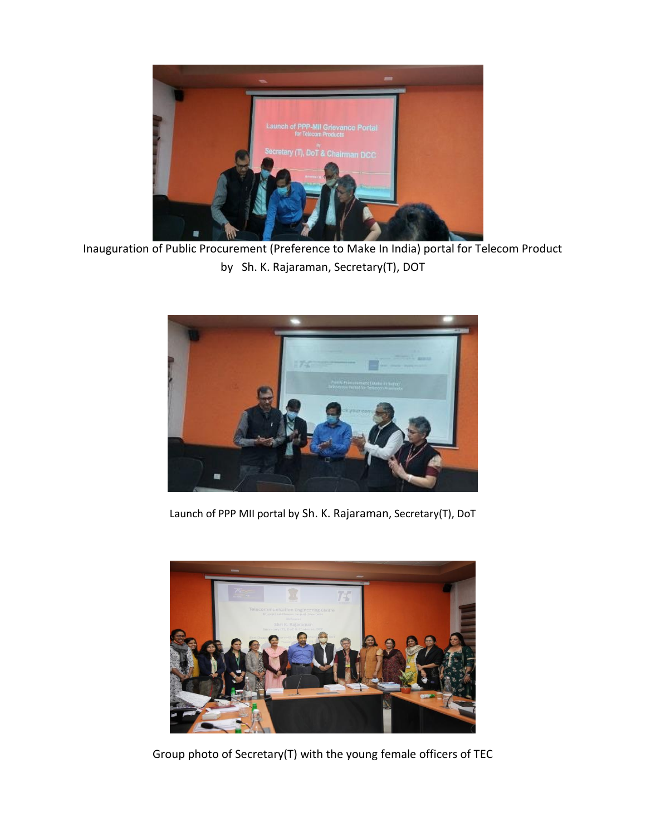

Inauguration of Public Procurement (Preference to Make In India) portal for Telecom Product by Sh. K. Rajaraman, Secretary(T), DOT



Launch of PPP MII portal by Sh. K. Rajaraman, Secretary(T), DoT



Group photo of Secretary(T) with the young female officers of TEC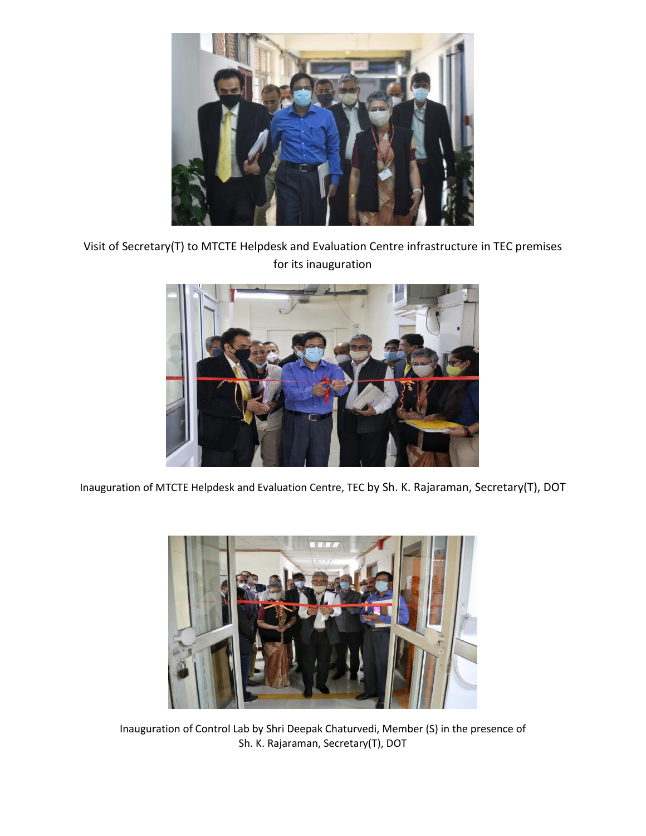

Visit of Secretary(T) to MTCTE Helpdesk and Evaluation Centre infrastructure in TEC premises for its inauguration



Inauguration of MTCTE Helpdesk and Evaluation Centre, TEC by Sh. K. Rajaraman, Secretary(T), DOT



Inauguration of Control Lab by Shri Deepak Chaturvedi, Member (S) in the presence of Sh. K. Rajaraman, Secretary(T), DOT